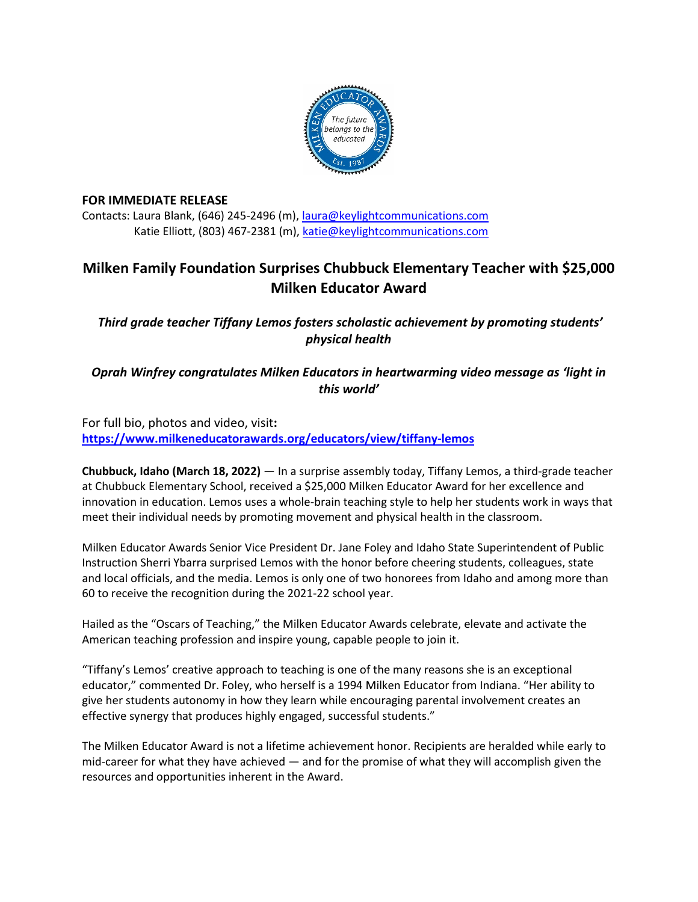

## **FOR IMMEDIATE RELEASE**

Contacts: Laura Blank, (646) 245-2496 (m), [laura@keylightcommunications.com](mailto:laura@keylightcommunications.com) Katie Elliott, (803) 467-2381 (m), [katie@keylightcommunications.com](mailto:katie@keylightcommunications.com)

# **Milken Family Foundation Surprises Chubbuck Elementary Teacher with \$25,000 Milken Educator Award**

*Third grade teacher Tiffany Lemos fosters scholastic achievement by promoting students' physical health* 

*Oprah Winfrey congratulates Milken Educators in heartwarming video message as 'light in this world'*

For full bio, photos and video, visit**: <https://www.milkeneducatorawards.org/educators/view/tiffany-lemos>**

**Chubbuck, Idaho (March 18, 2022)** — In a surprise assembly today, Tiffany Lemos, a third-grade teacher at Chubbuck Elementary School, received a \$25,000 Milken Educator Award for her excellence and innovation in education. Lemos uses a whole-brain teaching style to help her students work in ways that meet their individual needs by promoting movement and physical health in the classroom.

Milken Educator Awards Senior Vice President Dr. Jane Foley and Idaho State Superintendent of Public Instruction Sherri Ybarra surprised Lemos with the honor before cheering students, colleagues, state and local officials, and the media. Lemos is only one of two honorees from Idaho and among more than 60 to receive the recognition during the 2021-22 school year.

Hailed as the "Oscars of Teaching," the Milken Educator Awards celebrate, elevate and activate the American teaching profession and inspire young, capable people to join it.

"Tiffany's Lemos' creative approach to teaching is one of the many reasons she is an exceptional educator," commented Dr. Foley, who herself is a 1994 Milken Educator from Indiana. "Her ability to give her students autonomy in how they learn while encouraging parental involvement creates an effective synergy that produces highly engaged, successful students."

The Milken Educator Award is not a lifetime achievement honor. Recipients are heralded while early to mid-career for what they have achieved — and for the promise of what they will accomplish given the resources and opportunities inherent in the Award.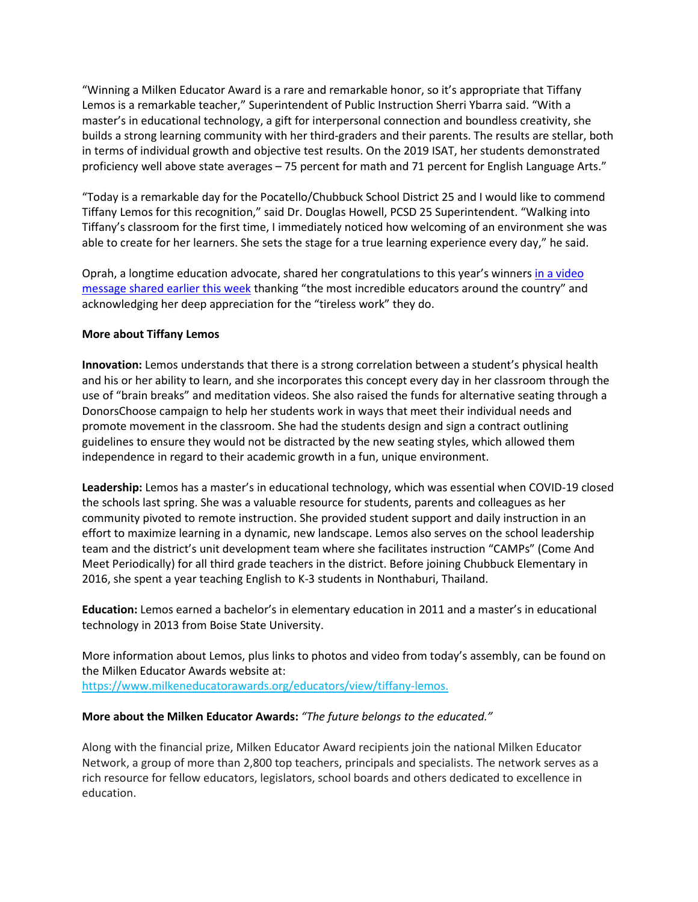"Winning a Milken Educator Award is a rare and remarkable honor, so it's appropriate that Tiffany Lemos is a remarkable teacher," Superintendent of Public Instruction Sherri Ybarra said. "With a master's in educational technology, a gift for interpersonal connection and boundless creativity, she builds a strong learning community with her third-graders and their parents. The results are stellar, both in terms of individual growth and objective test results. On the 2019 ISAT, her students demonstrated proficiency well above state averages – 75 percent for math and 71 percent for English Language Arts."

"Today is a remarkable day for the Pocatello/Chubbuck School District 25 and I would like to commend Tiffany Lemos for this recognition," said Dr. Douglas Howell, PCSD 25 Superintendent. "Walking into Tiffany's classroom for the first time, I immediately noticed how welcoming of an environment she was able to create for her learners. She sets the stage for a true learning experience every day," he said.

Oprah, a longtime education advocate, shared her congratulations to this year's winners in a [video](https://www.youtube.com/watch?v=9tT8ZoVnMU0) [message](https://www.youtube.com/watch?v=9tT8ZoVnMU0) shared earlier this week thanking "the most incredible educators around the country" and acknowledging her deep appreciation for the "tireless work" they do.

### **More about Tiffany Lemos**

**Innovation:** Lemos understands that there is a strong correlation between a student's physical health and his or her ability to learn, and she incorporates this concept every day in her classroom through the use of "brain breaks" and meditation videos. She also raised the funds for alternative seating through a DonorsChoose campaign to help her students work in ways that meet their individual needs and promote movement in the classroom. She had the students design and sign a contract outlining guidelines to ensure they would not be distracted by the new seating styles, which allowed them independence in regard to their academic growth in a fun, unique environment.

**Leadership:** Lemos has a master's in educational technology, which was essential when COVID-19 closed the schools last spring. She was a valuable resource for students, parents and colleagues as her community pivoted to remote instruction. She provided student support and daily instruction in an effort to maximize learning in a dynamic, new landscape. Lemos also serves on the school leadership team and the district's unit development team where she facilitates instruction "CAMPs" (Come And Meet Periodically) for all third grade teachers in the district. Before joining Chubbuck Elementary in 2016, she spent a year teaching English to K-3 students in Nonthaburi, Thailand.

**Education:** Lemos earned a bachelor's in elementary education in 2011 and a master's in educational technology in 2013 from Boise State University.

More information about Lemos, plus links to photos and video from today's assembly, can be found on the Milken Educator Awards website at: https://www.milkeneducatorawards.org/educators/view/tiffany-lemos.

#### **More about the Milken Educator Awards:** *"The future belongs to the educated."*

Along with the financial prize, Milken Educator Award recipients join the national Milken Educator Network, a group of more than 2,800 top teachers, principals and specialists. The network serves as a rich resource for fellow educators, legislators, school boards and others dedicated to excellence in education.